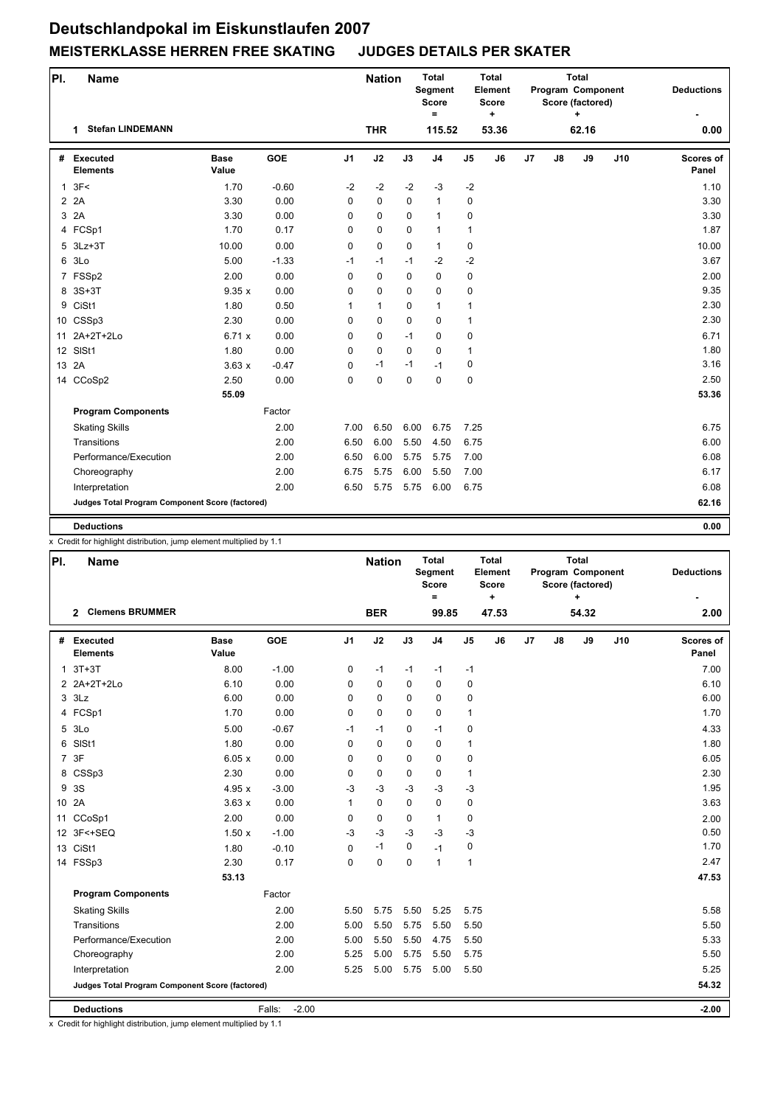## **Deutschlandpokal im Eiskunstlaufen 2007 MEISTERKLASSE HERREN FREE SKATING JUDGES DETAILS PER SKATER**

| PI. | <b>Name</b>                                     |                      |            |                | <b>Nation</b> |             | <b>Total</b><br><b>Segment</b><br><b>Score</b><br>$\equiv$ |                | <b>Total</b><br>Element<br><b>Score</b><br>$\ddot{}$ | <b>Total</b><br>Program Component<br>Score (factored)<br>$\ddot{}$ |                |       | <b>Deductions</b> |                    |
|-----|-------------------------------------------------|----------------------|------------|----------------|---------------|-------------|------------------------------------------------------------|----------------|------------------------------------------------------|--------------------------------------------------------------------|----------------|-------|-------------------|--------------------|
|     | <b>Stefan LINDEMANN</b><br>1                    |                      |            |                | <b>THR</b>    |             | 115.52                                                     |                | 53.36                                                |                                                                    |                | 62.16 |                   | 0.00               |
| #   | <b>Executed</b><br><b>Elements</b>              | <b>Base</b><br>Value | <b>GOE</b> | J <sub>1</sub> | J2            | J3          | J <sub>4</sub>                                             | J <sub>5</sub> | J6                                                   | J7                                                                 | $\mathbf{J}$ 8 | J9    | J10               | Scores of<br>Panel |
|     | 1.3F<                                           | 1.70                 | $-0.60$    | $-2$           | $-2$          | $-2$        | $-3$                                                       | $-2$           |                                                      |                                                                    |                |       |                   | 1.10               |
|     | 2A                                              | 3.30                 | 0.00       | $\Omega$       | $\Omega$      | $\Omega$    | $\mathbf{1}$                                               | 0              |                                                      |                                                                    |                |       |                   | 3.30               |
| 3   | 2A                                              | 3.30                 | 0.00       | 0              | 0             | 0           | $\mathbf{1}$                                               | 0              |                                                      |                                                                    |                |       |                   | 3.30               |
|     | 4 FCSp1                                         | 1.70                 | 0.17       | 0              | 0             | $\Omega$    | $\mathbf{1}$                                               | $\mathbf{1}$   |                                                      |                                                                    |                |       |                   | 1.87               |
|     | 5 3Lz+3T                                        | 10.00                | 0.00       | 0              | 0             | 0           | $\mathbf{1}$                                               | 0              |                                                      |                                                                    |                |       |                   | 10.00              |
|     | 6 3Lo                                           | 5.00                 | $-1.33$    | $-1$           | $-1$          | $-1$        | $-2$                                                       | $-2$           |                                                      |                                                                    |                |       |                   | 3.67               |
|     | 7 FSSp2                                         | 2.00                 | 0.00       | $\mathbf 0$    | 0             | $\Omega$    | $\mathbf 0$                                                | 0              |                                                      |                                                                    |                |       |                   | 2.00               |
|     | 8 3S+3T                                         | 9.35x                | 0.00       | $\mathbf 0$    | 0             | 0           | $\mathbf 0$                                                | 0              |                                                      |                                                                    |                |       |                   | 9.35               |
| 9   | CiSt1                                           | 1.80                 | 0.50       | $\mathbf{1}$   | $\mathbf{1}$  | 0           | $\mathbf{1}$                                               | $\mathbf{1}$   |                                                      |                                                                    |                |       |                   | 2.30               |
|     | 10 CSSp3                                        | 2.30                 | 0.00       | 0              | 0             | 0           | $\mathbf 0$                                                | $\mathbf{1}$   |                                                      |                                                                    |                |       |                   | 2.30               |
|     | 11 2A+2T+2Lo                                    | 6.71 x               | 0.00       | 0              | 0             | $-1$        | $\mathbf 0$                                                | 0              |                                                      |                                                                    |                |       |                   | 6.71               |
|     | 12 SISt1                                        | 1.80                 | 0.00       | 0              | 0             | $\mathbf 0$ | $\mathbf 0$                                                | $\mathbf{1}$   |                                                      |                                                                    |                |       |                   | 1.80               |
|     | 13 2A                                           | 3.63x                | $-0.47$    | $\mathbf 0$    | $-1$          | $-1$        | $-1$                                                       | 0              |                                                      |                                                                    |                |       |                   | 3.16               |
|     | 14 CCoSp2                                       | 2.50                 | 0.00       | $\Omega$       | 0             | $\Omega$    | $\Omega$                                                   | 0              |                                                      |                                                                    |                |       |                   | 2.50               |
|     |                                                 | 55.09                |            |                |               |             |                                                            |                |                                                      |                                                                    |                |       |                   | 53.36              |
|     | <b>Program Components</b>                       |                      | Factor     |                |               |             |                                                            |                |                                                      |                                                                    |                |       |                   |                    |
|     | <b>Skating Skills</b>                           |                      | 2.00       | 7.00           | 6.50          | 6.00        | 6.75                                                       | 7.25           |                                                      |                                                                    |                |       |                   | 6.75               |
|     | Transitions                                     |                      | 2.00       | 6.50           | 6.00          | 5.50        | 4.50                                                       | 6.75           |                                                      |                                                                    |                |       |                   | 6.00               |
|     | Performance/Execution                           |                      | 2.00       | 6.50           | 6.00          | 5.75        | 5.75                                                       | 7.00           |                                                      |                                                                    |                |       |                   | 6.08               |
|     | Choreography                                    |                      | 2.00       | 6.75           | 5.75          | 6.00        | 5.50                                                       | 7.00           |                                                      |                                                                    |                |       |                   | 6.17               |
|     | Interpretation                                  |                      | 2.00       | 6.50           | 5.75          | 5.75        | 6.00                                                       | 6.75           |                                                      |                                                                    |                |       |                   | 6.08               |
|     | Judges Total Program Component Score (factored) |                      |            |                |               |             |                                                            |                |                                                      |                                                                    |                |       |                   | 62.16              |
|     | <b>Deductions</b>                               |                      |            |                |               |             |                                                            |                |                                                      |                                                                    |                |       |                   | 0.00               |

x Credit for highlight distribution, jump element multiplied by 1.1

| PI.   | <b>Name</b>                                     |                      |                   |                | <b>Nation</b> |          | <b>Total</b><br><b>Segment</b><br><b>Score</b><br>$\equiv$ | Total          | Element<br><b>Score</b><br>÷ | <b>Total</b><br>Program Component<br>Score (factored)<br>٠ |               |       | <b>Deductions</b> |                           |
|-------|-------------------------------------------------|----------------------|-------------------|----------------|---------------|----------|------------------------------------------------------------|----------------|------------------------------|------------------------------------------------------------|---------------|-------|-------------------|---------------------------|
|       | <b>Clemens BRUMMER</b><br>$\mathbf{2}$          |                      |                   |                | <b>BER</b>    |          | 99.85                                                      |                | 47.53                        |                                                            |               | 54.32 |                   | 2.00                      |
| #     | <b>Executed</b><br><b>Elements</b>              | <b>Base</b><br>Value | GOE               | J <sub>1</sub> | J2            | J3       | J <sub>4</sub>                                             | J <sub>5</sub> | J6                           | J7                                                         | $\mathsf{J}8$ | J9    | J10               | <b>Scores of</b><br>Panel |
|       | $1.3T+3T$                                       | 8.00                 | $-1.00$           | 0              | $-1$          | $-1$     | $-1$                                                       | $-1$           |                              |                                                            |               |       |                   | 7.00                      |
|       | 2 2A+2T+2Lo                                     | 6.10                 | 0.00              | 0              | 0             | 0        | 0                                                          | 0              |                              |                                                            |               |       |                   | 6.10                      |
|       | $3$ $3$ Lz                                      | 6.00                 | 0.00              | $\Omega$       | 0             | $\Omega$ | 0                                                          | 0              |                              |                                                            |               |       |                   | 6.00                      |
|       | 4 FCSp1                                         | 1.70                 | 0.00              | 0              | 0             | 0        | 0                                                          | 1              |                              |                                                            |               |       |                   | 1.70                      |
|       | 5 3Lo                                           | 5.00                 | $-0.67$           | $-1$           | $-1$          | 0        | $-1$                                                       | 0              |                              |                                                            |               |       |                   | 4.33                      |
|       | 6 SISt1                                         | 1.80                 | 0.00              | $\mathbf 0$    | 0             | 0        | 0                                                          | 1              |                              |                                                            |               |       |                   | 1.80                      |
|       | 7 3F                                            | 6.05x                | 0.00              | $\mathbf 0$    | 0             | $\Omega$ | 0                                                          | 0              |                              |                                                            |               |       |                   | 6.05                      |
|       | 8 CSSp3                                         | 2.30                 | 0.00              | $\mathbf 0$    | 0             | 0        | 0                                                          | 1              |                              |                                                            |               |       |                   | 2.30                      |
|       | 9 3S                                            | 4.95x                | $-3.00$           | $-3$           | $-3$          | $-3$     | $-3$                                                       | $-3$           |                              |                                                            |               |       |                   | 1.95                      |
| 10 2A |                                                 | 3.63x                | 0.00              | 1              | 0             | $\Omega$ | 0                                                          | 0              |                              |                                                            |               |       |                   | 3.63                      |
|       | 11 CCoSp1                                       | 2.00                 | 0.00              | 0              | 0             | 0        | $\mathbf{1}$                                               | 0              |                              |                                                            |               |       |                   | 2.00                      |
|       | 12 3F<+SEQ                                      | 1.50x                | $-1.00$           | $-3$           | $-3$          | $-3$     | $-3$                                                       | $-3$           |                              |                                                            |               |       |                   | 0.50                      |
|       | 13 CiSt1                                        | 1.80                 | $-0.10$           | $\mathbf 0$    | $-1$          | 0        | $-1$                                                       | 0              |                              |                                                            |               |       |                   | 1.70                      |
|       | 14 FSSp3                                        | 2.30                 | 0.17              | $\Omega$       | 0             | $\Omega$ | $\mathbf{1}$                                               | 1              |                              |                                                            |               |       |                   | 2.47                      |
|       |                                                 | 53.13                |                   |                |               |          |                                                            |                |                              |                                                            |               |       |                   | 47.53                     |
|       | <b>Program Components</b>                       |                      | Factor            |                |               |          |                                                            |                |                              |                                                            |               |       |                   |                           |
|       | <b>Skating Skills</b>                           |                      | 2.00              | 5.50           | 5.75          | 5.50     | 5.25                                                       | 5.75           |                              |                                                            |               |       |                   | 5.58                      |
|       | Transitions                                     |                      | 2.00              | 5.00           | 5.50          | 5.75     | 5.50                                                       | 5.50           |                              |                                                            |               |       |                   | 5.50                      |
|       | Performance/Execution                           |                      | 2.00              | 5.00           | 5.50          | 5.50     | 4.75                                                       | 5.50           |                              |                                                            |               |       |                   | 5.33                      |
|       | Choreography                                    |                      | 2.00              | 5.25           | 5.00          | 5.75     | 5.50                                                       | 5.75           |                              |                                                            |               |       |                   | 5.50                      |
|       | Interpretation                                  |                      | 2.00              | 5.25           | 5.00          | 5.75     | 5.00                                                       | 5.50           |                              |                                                            |               |       |                   | 5.25                      |
|       | Judges Total Program Component Score (factored) |                      |                   |                |               |          |                                                            |                |                              |                                                            |               |       |                   | 54.32                     |
|       | <b>Deductions</b>                               |                      | $-2.00$<br>Falls: |                |               |          |                                                            |                |                              |                                                            |               |       |                   | $-2.00$                   |

x Credit for highlight distribution, jump element multiplied by 1.1